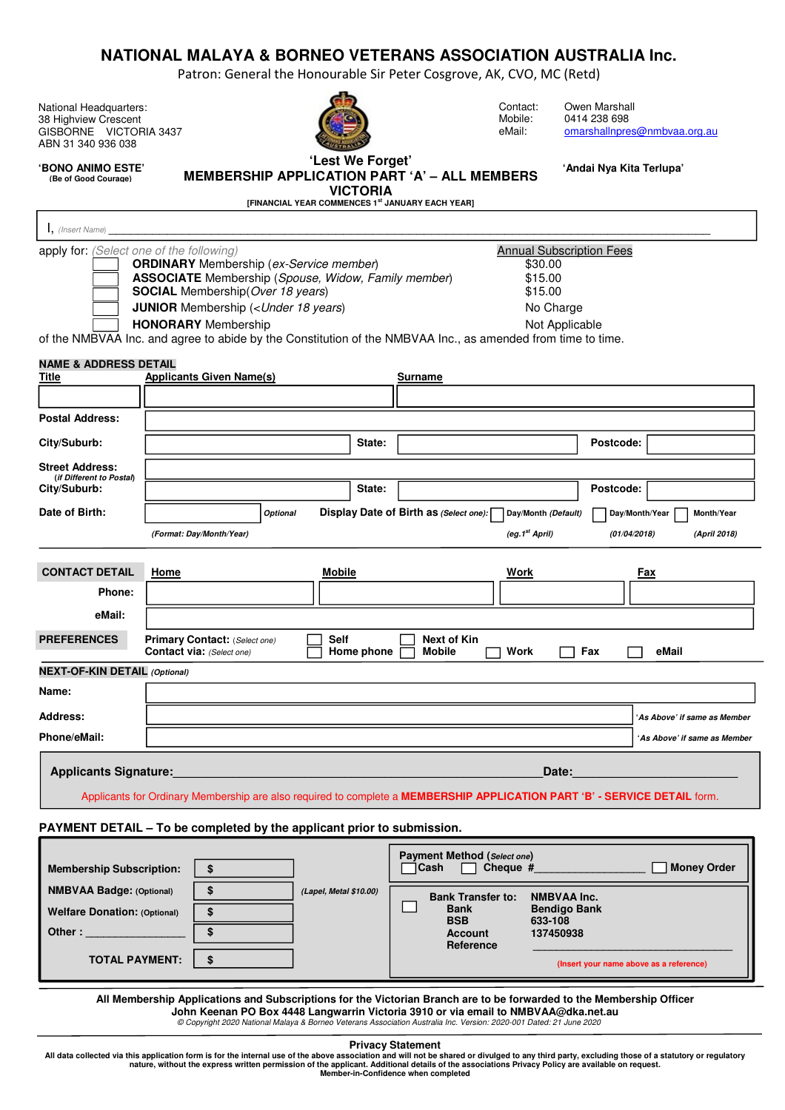# **NATIONAL MALAYA & BORNEO VETERANS ASSOCIATION AUSTRALIA Inc.**

Patron: General the Honourable Sir Peter Cosgrove, AK, CVO, MC (Retd)

National Headquarters: 38 Highview Crescent GISBORNE VICTORIA 3437 ABN 31 340 936 038



Contact: Owen Marshall<br>Mobile: 0414 238 698 Mobile: 0414 238 698<br>eMail: omarshallnpre omarshallnpres@nmbvaa.org.au

**'Andai Nya Kita Terlupa'** 

**'BONO ANIMO ESTE' (Be of Good Courage)**

### **'Lest We Forget' MEMBERSHIP APPLICATION PART 'A' – ALL MEMBERS VICTORIA**

**[FINANCIAL YEAR COMMENCES 1st JANUARY EACH YEAR]** 

| I, (Insert Name)                                                                                                            |                                                                                                                                                                                                                                                     |                           |                                                                                                                                                                                                                |                                         |
|-----------------------------------------------------------------------------------------------------------------------------|-----------------------------------------------------------------------------------------------------------------------------------------------------------------------------------------------------------------------------------------------------|---------------------------|----------------------------------------------------------------------------------------------------------------------------------------------------------------------------------------------------------------|-----------------------------------------|
| apply for: (Select one of the following)                                                                                    | <b>ORDINARY</b> Membership (ex-Service member)<br><b>ASSOCIATE</b> Membership (Spouse, Widow, Family member)<br><b>SOCIAL</b> Membership (Over 18 years)<br><b>JUNIOR</b> Membership ( <under 18="" years)<br=""><b>HONORARY</b> Membership</under> |                           | <b>Annual Subscription Fees</b><br>\$30.00<br>\$15.00<br>\$15.00<br>No Charge<br>Not Applicable<br>of the NMBVAA Inc. and agree to abide by the Constitution of the NMBVAA Inc., as amended from time to time. |                                         |
| <b>NAME &amp; ADDRESS DETAIL</b><br><b>Title</b>                                                                            | <b>Applicants Given Name(s)</b>                                                                                                                                                                                                                     |                           | Surname                                                                                                                                                                                                        |                                         |
|                                                                                                                             |                                                                                                                                                                                                                                                     |                           |                                                                                                                                                                                                                |                                         |
| <b>Postal Address:</b>                                                                                                      |                                                                                                                                                                                                                                                     |                           |                                                                                                                                                                                                                |                                         |
| City/Suburb:                                                                                                                |                                                                                                                                                                                                                                                     | State:                    |                                                                                                                                                                                                                | Postcode:                               |
| <b>Street Address:</b><br>(if Different to Postal)                                                                          |                                                                                                                                                                                                                                                     |                           |                                                                                                                                                                                                                |                                         |
| City/Suburb:                                                                                                                |                                                                                                                                                                                                                                                     | State:                    |                                                                                                                                                                                                                | Postcode:                               |
| Date of Birth:                                                                                                              | <b>Optional</b>                                                                                                                                                                                                                                     |                           | Display Date of Birth as (Select one):<br>Day/Month (Default)                                                                                                                                                  | Day/Month/Year<br>Month/Year            |
|                                                                                                                             | (Format: Day/Month/Year)                                                                                                                                                                                                                            |                           | (eg.1 <sup>st</sup> April)                                                                                                                                                                                     | (April 2018)<br>(01/04/2018)            |
|                                                                                                                             |                                                                                                                                                                                                                                                     |                           |                                                                                                                                                                                                                |                                         |
| <b>CONTACT DETAIL</b>                                                                                                       | Home                                                                                                                                                                                                                                                | <b>Mobile</b>             | <u>Work</u>                                                                                                                                                                                                    | <u>Fax</u>                              |
| <b>Phone:</b>                                                                                                               |                                                                                                                                                                                                                                                     |                           |                                                                                                                                                                                                                |                                         |
| eMail:                                                                                                                      |                                                                                                                                                                                                                                                     |                           |                                                                                                                                                                                                                |                                         |
| <b>PREFERENCES</b>                                                                                                          | Primary Contact: (Select one)<br>Contact via: (Select one)                                                                                                                                                                                          | <b>Self</b><br>Home phone | <b>Next of Kin</b><br><b>Mobile</b><br>Fax<br>Work                                                                                                                                                             | eMail                                   |
| <b>NEXT-OF-KIN DETAIL (Optional)</b>                                                                                        |                                                                                                                                                                                                                                                     |                           |                                                                                                                                                                                                                |                                         |
| Name:                                                                                                                       |                                                                                                                                                                                                                                                     |                           |                                                                                                                                                                                                                |                                         |
| Address:                                                                                                                    |                                                                                                                                                                                                                                                     |                           |                                                                                                                                                                                                                | 'As Above' if same as Member            |
| Phone/eMail:                                                                                                                |                                                                                                                                                                                                                                                     |                           |                                                                                                                                                                                                                | 'As Above' if same as Member            |
| <b>Applicants Signature:</b>                                                                                                |                                                                                                                                                                                                                                                     |                           | Date:<br>Applicants for Ordinary Membership are also required to complete a MEMBERSHIP APPLICATION PART 'B' - SERVICE DETAIL form.                                                                             |                                         |
|                                                                                                                             | PAYMENT DETAIL - To be completed by the applicant prior to submission.                                                                                                                                                                              |                           |                                                                                                                                                                                                                |                                         |
| <b>Membership Subscription:</b><br><b>NMBVAA Badge: (Optional)</b><br><b>Welfare Donation: (Optional)</b><br>Other : $\_\_$ | \$<br>\$<br>\$<br>\$                                                                                                                                                                                                                                | (Lapel, Metal \$10.00)    | Payment Method (Select one)<br><b>Cash</b><br>Cheque #<br><b>NMBVAA Inc.</b><br><b>Bank Transfer to:</b><br><b>Bank</b><br><b>Bendigo Bank</b><br><b>BSB</b><br>633-108<br>137450938<br>Account<br>Reference   | <b>Money Order</b>                      |
| <b>TOTAL PAYMENT:</b>                                                                                                       | \$                                                                                                                                                                                                                                                  |                           |                                                                                                                                                                                                                | (Insert your name above as a reference) |

**All Membership Applications and Subscriptions for the Victorian Branch are to be forwarded to the Membership Officer John Keenan PO Box 4448 Langwarrin Victoria 3910 or via email to NMBVAA@dka.net.au**  © Copyright 2020 National Malaya & Borneo Veterans Association Australia Inc. Version: 2020-001 Dated: 21 June 2020

## **Privacy Statement**

All data collected via this application form is for the internal use of the above association and will not be shared or divulged to any third party, excluding those of a statutory or regulatory<br>nature, without the express